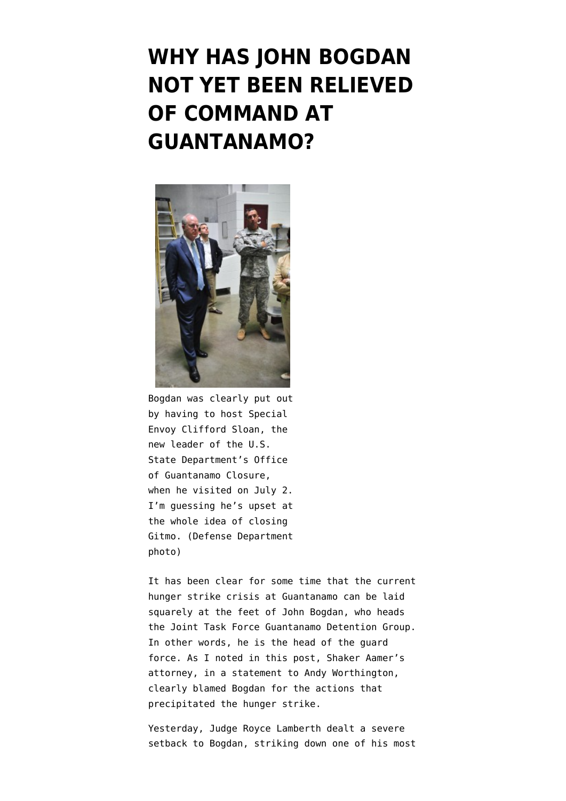## **[WHY HAS JOHN BOGDAN](https://www.emptywheel.net/2013/07/12/why-has-john-bogdan-not-yet-been-relieved-of-command-at-guantanamo/) [NOT YET BEEN RELIEVED](https://www.emptywheel.net/2013/07/12/why-has-john-bogdan-not-yet-been-relieved-of-command-at-guantanamo/) [OF COMMAND AT](https://www.emptywheel.net/2013/07/12/why-has-john-bogdan-not-yet-been-relieved-of-command-at-guantanamo/) [GUANTANAMO?](https://www.emptywheel.net/2013/07/12/why-has-john-bogdan-not-yet-been-relieved-of-command-at-guantanamo/)**



Bogdan was clearly put out by having to host Special Envoy Clifford Sloan, the new leader of the U.S. State Department's Office of Guantanamo Closure, when he visited on July 2. I'm guessing he's upset at the whole idea of closing Gitmo. (Defense Department photo)

It has been clear for some time that the current hunger strike crisis at Guantanamo can be laid squarely at the feet of John Bogdan, who heads the Joint Task Force Guantanamo Detention Group. In other words, he is the head of the guard force. As I noted in [this post,](http://www.emptywheel.net/2013/04/14/john-bogdan-the-face-of-the-guantanamo-crackdown/) Shaker Aamer's attorney, in a statement to Andy Worthington, clearly blamed Bogdan for the actions that precipitated the hunger strike.

Yesterday, Judge Royce Lamberth dealt a severe setback to Bogdan, striking down one of his most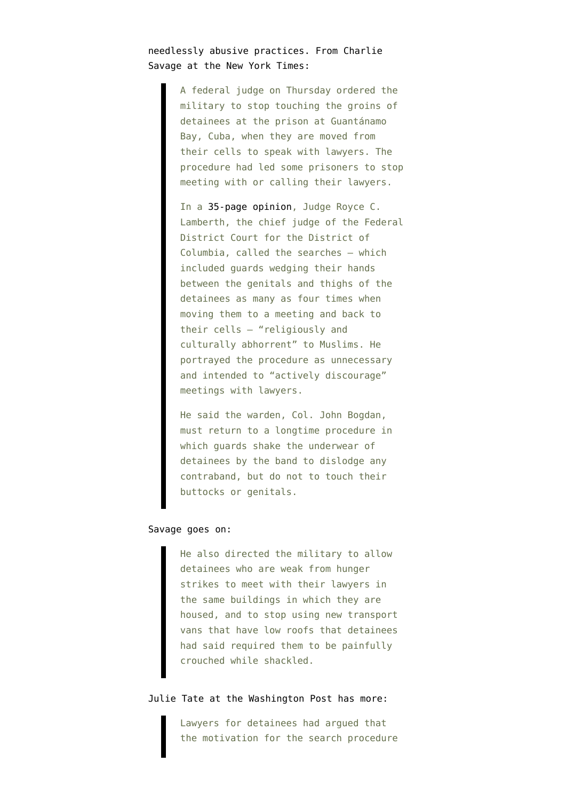## needlessly abusive practices. From [Charlie](http://www.nytimes.com/2013/07/12/us/judge-halts-groin-searches-at-guantanamo-calling-them-abhorrent-to-muslims.html) [Savage at the New York Times](http://www.nytimes.com/2013/07/12/us/judge-halts-groin-searches-at-guantanamo-calling-them-abhorrent-to-muslims.html):

A federal judge on Thursday ordered the military to stop touching the groins of detainees at the prison at Guantánamo Bay, Cuba, when they are moved from their cells to speak with lawyers. The procedure had led some prisoners to stop meeting with or calling their lawyers.

In a [35-page opinion](http://www.documentcloud.org/documents/725853-lamberth-opinion-on-counsel-access-and-genital.html), Judge Royce C. Lamberth, the chief judge of the Federal District Court for the District of Columbia, called the searches — which included guards wedging their hands between the genitals and thighs of the detainees as many as four times when moving them to a meeting and back to their cells — "religiously and culturally abhorrent" to Muslims. He portrayed the procedure as unnecessary and intended to "actively discourage" meetings with lawyers.

He said the warden, Col. John Bogdan, must return to a longtime procedure in which guards shake the underwear of detainees by the band to dislodge any contraband, but do not to touch their buttocks or genitals.

## Savage goes on:

He also directed the military to allow detainees who are weak from hunger strikes to meet with their lawyers in the same buildings in which they are housed, and to stop using new transport vans that have low roofs that detainees had said required them to be painfully crouched while shackled.

## [Julie Tate at the Washington Post](http://www.washingtonpost.com/world/national-security/judge-halts-genital-searches-of-guantanamo-detainees-before-meetings-with-attorneys/2013/07/11/d6d77900-ea68-11e2-aa9f-c03a72e2d342_story.html) has more:

Lawyers for detainees had argued that the motivation for the search procedure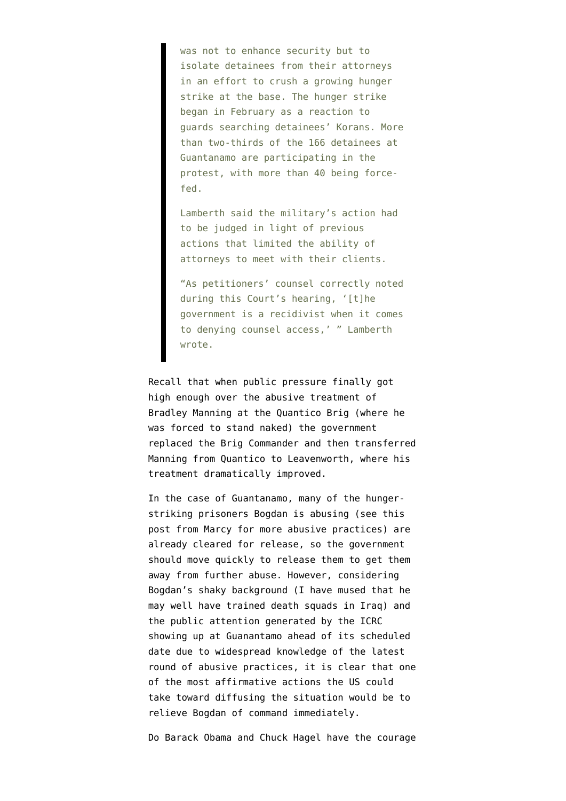was not to enhance security but to isolate detainees from their attorneys in an effort to crush a growing hunger strike [a](http://www.washingtonpost.com/world/national-security/guantanamo-bay-hunger-strike-grows-41-now-being-force-fed/2013/06/06/a07727ea-cee1-11e2-9f1a-1a7cdee20287_story.html)t the base. The hunger strike began in February as a reaction to guards searching detainees' Korans. More than two-thirds of the 166 detainees at Guantanamo are participating in the protest, with more than 40 being forcefed.

Lamberth said the military's action had to be judged in light of previous actions that limited the ability of attorneys to meet with their clients.

"As petitioners' counsel correctly noted during this Court's hearing, '[t]he government is a recidivist when it comes to denying counsel access,' " Lamberth wrote.

Recall that when public pressure finally got high enough over the abusive treatment of Bradley Manning at the Quantico Brig (where he was forced to stand naked) the government [replaced the Brig Commander](http://www.cbsnews.com/8301-503543_162-20029688-503543.html) and then [transferred](http://articles.washingtonpost.com/2011-04-19/world/35230309_1_confinement-fort-leavenworth-quantico) [Manning from Quantico to Leavenworth](http://articles.washingtonpost.com/2011-04-19/world/35230309_1_confinement-fort-leavenworth-quantico), where his treatment dramatically improved.

In the case of Guantanamo, many of the hungerstriking prisoners Bogdan is abusing (see [this](http://www.emptywheel.net/2013/04/17/at-gitmo-captain-john-makes-sure-detainees-dont-get-an-overabundance-of-things/) [post from Marcy](http://www.emptywheel.net/2013/04/17/at-gitmo-captain-john-makes-sure-detainees-dont-get-an-overabundance-of-things/) for more abusive practices) are already cleared for release, so the government should move quickly to release them to get them away from further abuse. However, considering Bogdan's shaky background (I have mused that [he](http://www.emptywheel.net/2013/04/14/john-bogdan-the-face-of-the-guantanamo-crackdown/) [may well have trained death squads in Iraq](http://www.emptywheel.net/2013/04/14/john-bogdan-the-face-of-the-guantanamo-crackdown/)) and the public attention generated by the [ICRC](http://www.emptywheel.net/2013/03/28/icrc-visits-gitmo-early-in-midst-of-hunger-strike-new-controversy-over-drinking-water/) [showing up at Guanantamo ahead of its scheduled](http://www.emptywheel.net/2013/03/28/icrc-visits-gitmo-early-in-midst-of-hunger-strike-new-controversy-over-drinking-water/) [date due to widespread knowledge of the latest](http://www.emptywheel.net/2013/03/28/icrc-visits-gitmo-early-in-midst-of-hunger-strike-new-controversy-over-drinking-water/) [round of abusive practices,](http://www.emptywheel.net/2013/03/28/icrc-visits-gitmo-early-in-midst-of-hunger-strike-new-controversy-over-drinking-water/) it is clear that one of the most affirmative actions the US could take toward diffusing the situation would be to relieve Bogdan of command immediately.

Do Barack Obama and Chuck Hagel have the courage